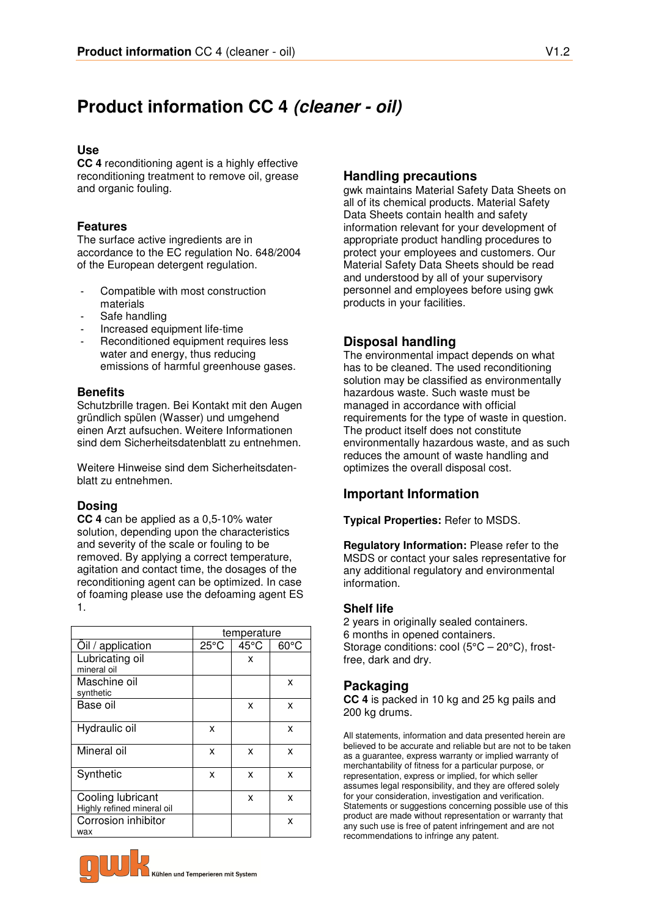# **Product information CC 4 (cleaner - oil)**

### **Use**

**CC 4** reconditioning agent is a highly effective reconditioning treatment to remove oil, grease and organic fouling.

# **Features**

The surface active ingredients are in accordance to the EC regulation No. 648/2004 of the European detergent regulation.

- Compatible with most construction materials
- Safe handling
- Increased equipment life-time
- Reconditioned equipment requires less water and energy, thus reducing emissions of harmful greenhouse gases.

# **Benefits**

Schutzbrille tragen. Bei Kontakt mit den Augen gründlich spülen (Wasser) und umgehend einen Arzt aufsuchen. Weitere Informationen sind dem Sicherheitsdatenblatt zu entnehmen.

Weitere Hinweise sind dem Sicherheitsdatenblatt zu entnehmen.

# **Dosing**

**CC 4** can be applied as a 0,5-10% water solution, depending upon the characteristics and severity of the scale or fouling to be removed. By applying a correct temperature, agitation and contact time, the dosages of the reconditioning agent can be optimized. In case of foaming please use the defoaming agent ES 1.

|                                                 |                | temperature |                |
|-------------------------------------------------|----------------|-------------|----------------|
| Oil / application                               | $25^{\circ}$ C | 45°C        | $60^{\circ}$ C |
| Lubricating oil<br>mineral oil                  |                | x           |                |
| Maschine oil<br>synthetic                       |                |             | x              |
| Base oil                                        |                | x           | x              |
| Hydraulic oil                                   | x              |             | x              |
| Mineral oil                                     | x              | x           | x              |
| Synthetic                                       | x              | x           | x              |
| Cooling lubricant<br>Highly refined mineral oil |                | x           | x              |
| Corrosion inhibitor<br>wax                      |                |             | x              |

# gwk maintains Material Safety Data Sheets on

**Handling precautions** 

all of its chemical products. Material Safety Data Sheets contain health and safety information relevant for your development of appropriate product handling procedures to protect your employees and customers. Our Material Safety Data Sheets should be read and understood by all of your supervisory personnel and employees before using gwk products in your facilities.

# **Disposal handling**

The environmental impact depends on what has to be cleaned. The used reconditioning solution may be classified as environmentally hazardous waste. Such waste must be managed in accordance with official requirements for the type of waste in question. The product itself does not constitute environmentally hazardous waste, and as such reduces the amount of waste handling and optimizes the overall disposal cost.

# **Important Information**

**Typical Properties:** Refer to MSDS.

**Regulatory Information:** Please refer to the MSDS or contact your sales representative for any additional regulatory and environmental information.

#### **Shelf life**

2 years in originally sealed containers. 6 months in opened containers. Storage conditions: cool (5°C – 20°C), frostfree, dark and dry.

# **Packaging**

**CC 4** is packed in 10 kg and 25 kg pails and 200 kg drums.

All statements, information and data presented herein are believed to be accurate and reliable but are not to be taken as a guarantee, express warranty or implied warranty of merchantability of fitness for a particular purpose, or representation, express or implied, for which seller assumes legal responsibility, and they are offered solely for your consideration, investigation and verification. Statements or suggestions concerning possible use of this product are made without representation or warranty that any such use is free of patent infringement and are not recommendations to infringe any patent.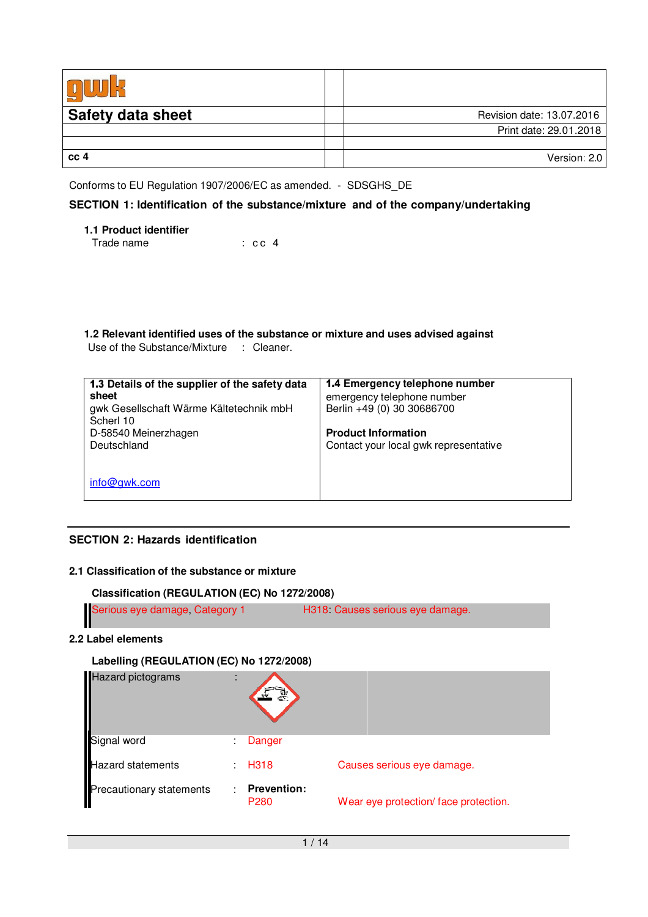| <b>Safety data sheet</b> | Revision date: 13.07.2016 |
|--------------------------|---------------------------|
|                          | Print date: 29.01.2018    |
|                          |                           |
| cc <sub>4</sub>          | Version: 2.0              |

Conforms to EU Regulation 1907/2006/EC as amended. - SDSGHS\_DE

# **SECTION 1: Identification of the substance/mixture and of the company/undertaking**

| <b>1.1 Product identifier</b> |                   |  |
|-------------------------------|-------------------|--|
| Trade name                    | $\therefore$ cc 4 |  |

**1.2 Relevant identified uses of the substance or mixture and uses advised against** Use of the Substance/Mixture : Cleaner.

| 1.3 Details of the supplier of the safety data<br>sheet<br>gwk Gesellschaft Wärme Kältetechnik mbH<br>Scherl 10<br>D-58540 Meinerzhagen<br>Deutschland | 1.4 Emergency telephone number<br>emergency telephone number<br>Berlin +49 (0) 30 30686700<br><b>Product Information</b><br>Contact your local gwk representative |
|--------------------------------------------------------------------------------------------------------------------------------------------------------|-------------------------------------------------------------------------------------------------------------------------------------------------------------------|
| info@qwk.com                                                                                                                                           |                                                                                                                                                                   |

# **SECTION 2: Hazards identification**

# **2.1 Classification of the substance or mixture**

**Classification (REGULATION (EC) No 1272/2008)**

| Serious eye damage, Category 1 | H318: Causes serious eye damage. |
|--------------------------------|----------------------------------|
|                                |                                  |

#### **2.2 Label elements**

#### **Labelling (REGULATION (EC) No 1272/2008)**

| Hazard pictograms                | t |                                        |                                       |
|----------------------------------|---|----------------------------------------|---------------------------------------|
|                                  | ٠ | Danger                                 |                                       |
| Signal word<br>Hazard statements |   | H <sub>3</sub> 18                      | Causes serious eye damage.            |
| Precautionary statements         |   | <b>Prevention:</b><br>P <sub>280</sub> | Wear eye protection/ face protection. |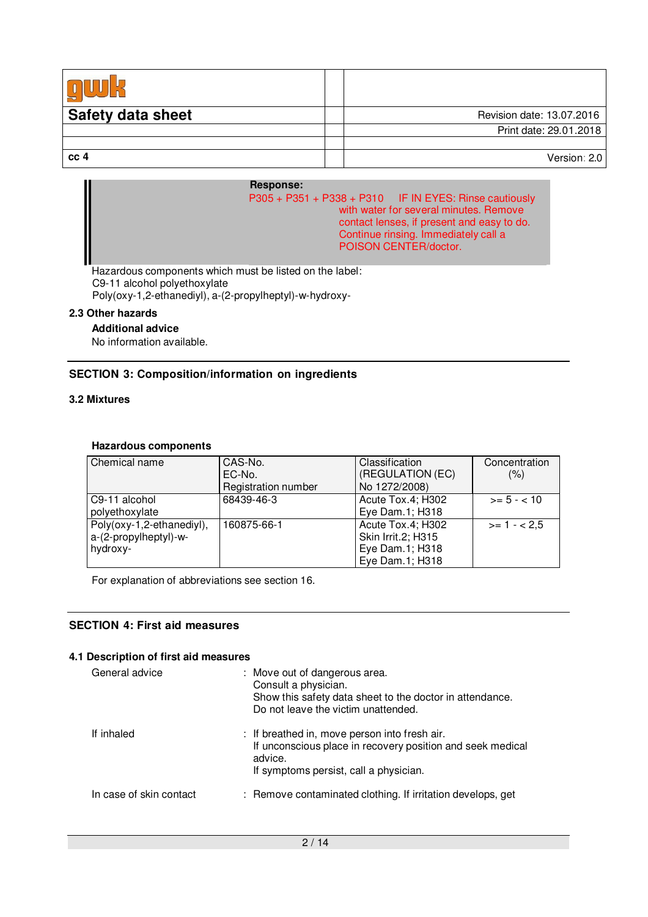| <b>Safety data sheet</b> | Revision date: 13.07.2016 |
|--------------------------|---------------------------|
|                          | Print date: 29.01.2018    |
|                          |                           |
| cc <sub>4</sub>          | Version: 2.0              |

#### **Response:**

| $P305 + P351 + P338 + P310$ IF IN EYES: Rinse cautiously |
|----------------------------------------------------------|
| with water for several minutes. Remove                   |
| contact lenses, if present and easy to do.               |
| Continue rinsing. Immediately call a                     |
| POISON CENTER/doctor.                                    |
|                                                          |

Hazardous components which must be listed on the label: C9-11 alcohol polyethoxylate Poly(oxy-1,2-ethanediyl), a-(2-propylheptyl)-w-hydroxy-

#### **2.3 Other hazards**

#### **Additional advice**

No information available.

#### **SECTION 3: Composition/information on ingredients**

# **3.2 Mixtures**

#### **Hazardous components**

| Chemical name             | CAS-No.             | Classification     | Concentration |
|---------------------------|---------------------|--------------------|---------------|
|                           | EC-No.              | (REGULATION (EC)   | (% )          |
|                           | Registration number | No 1272/2008)      |               |
| C9-11 alcohol             | 68439-46-3          | Acute Tox.4; H302  | $>= 5 - < 10$ |
| polyethoxylate            |                     | Eye Dam.1; H318    |               |
| Poly(oxy-1,2-ethanediyl), | 160875-66-1         | Acute Tox.4; H302  | $>= 1 - 2.5$  |
| a-(2-propylheptyl)-w-     |                     | Skin Irrit.2; H315 |               |
| hydroxy-                  |                     | Eye Dam.1; H318    |               |
|                           |                     | Eye Dam.1; H318    |               |

For explanation of abbreviations see section 16.

#### **SECTION 4: First aid measures**

#### **4.1 Description of first aid measures**

| General advice          | : Move out of dangerous area.<br>Consult a physician.<br>Show this safety data sheet to the doctor in attendance.<br>Do not leave the victim unattended.         |
|-------------------------|------------------------------------------------------------------------------------------------------------------------------------------------------------------|
| If inhaled              | : If breathed in, move person into fresh air.<br>If unconscious place in recovery position and seek medical<br>advice.<br>If symptoms persist, call a physician. |
| In case of skin contact | : Remove contaminated clothing. If irritation develops, get                                                                                                      |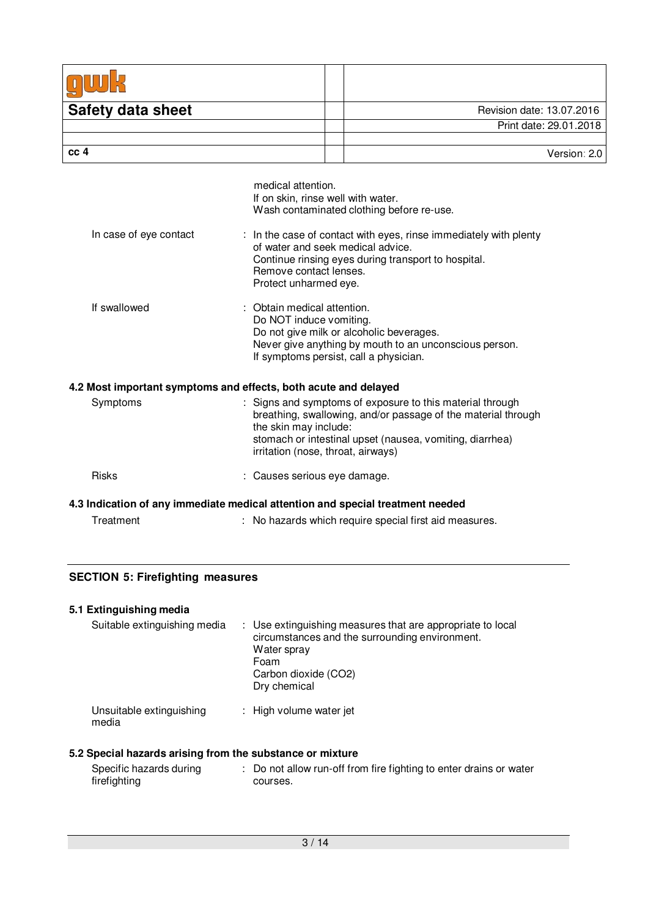| <b>Safety data sheet</b>                                                       |                                                                                      | Revision date: 13.07.2016                                                                                                                                                              |
|--------------------------------------------------------------------------------|--------------------------------------------------------------------------------------|----------------------------------------------------------------------------------------------------------------------------------------------------------------------------------------|
|                                                                                |                                                                                      | Print date: 29.01.2018                                                                                                                                                                 |
| cc <sub>4</sub>                                                                |                                                                                      | Version: 2.0                                                                                                                                                                           |
|                                                                                |                                                                                      |                                                                                                                                                                                        |
|                                                                                | medical attention.<br>If on skin, rinse well with water.                             | Wash contaminated clothing before re-use.                                                                                                                                              |
| In case of eye contact                                                         | of water and seek medical advice.<br>Remove contact lenses.<br>Protect unharmed eye. | : In the case of contact with eyes, rinse immediately with plenty<br>Continue rinsing eyes during transport to hospital.                                                               |
| If swallowed                                                                   | : Obtain medical attention.<br>Do NOT induce vomiting.                               | Do not give milk or alcoholic beverages.<br>Never give anything by mouth to an unconscious person.<br>If symptoms persist, call a physician.                                           |
| 4.2 Most important symptoms and effects, both acute and delayed                |                                                                                      |                                                                                                                                                                                        |
| Symptoms                                                                       | the skin may include:<br>irritation (nose, throat, airways)                          | : Signs and symptoms of exposure to this material through<br>breathing, swallowing, and/or passage of the material through<br>stomach or intestinal upset (nausea, vomiting, diarrhea) |
| <b>Risks</b>                                                                   | : Causes serious eye damage.                                                         |                                                                                                                                                                                        |
| 4.3 Indication of any immediate medical attention and special treatment needed |                                                                                      |                                                                                                                                                                                        |
| Treatment                                                                      |                                                                                      | : No hazards which require special first aid measures.                                                                                                                                 |

# **SECTION 5: Firefighting measures**

# **5.1 Extinguishing media**

| Suitable extinguishing media      | : Use extinguishing measures that are appropriate to local<br>circumstances and the surrounding environment.<br>Water spray<br>Foam<br>Carbon dioxide (CO2)<br>Dry chemical |
|-----------------------------------|-----------------------------------------------------------------------------------------------------------------------------------------------------------------------------|
| Unsuitable extinguishing<br>media | : High volume water jet                                                                                                                                                     |

# **5.2 Special hazards arising from the substance or mixture**

| Specific hazards during | : Do not allow run-off from fire fighting to enter drains or water |
|-------------------------|--------------------------------------------------------------------|
| firefighting            | courses.                                                           |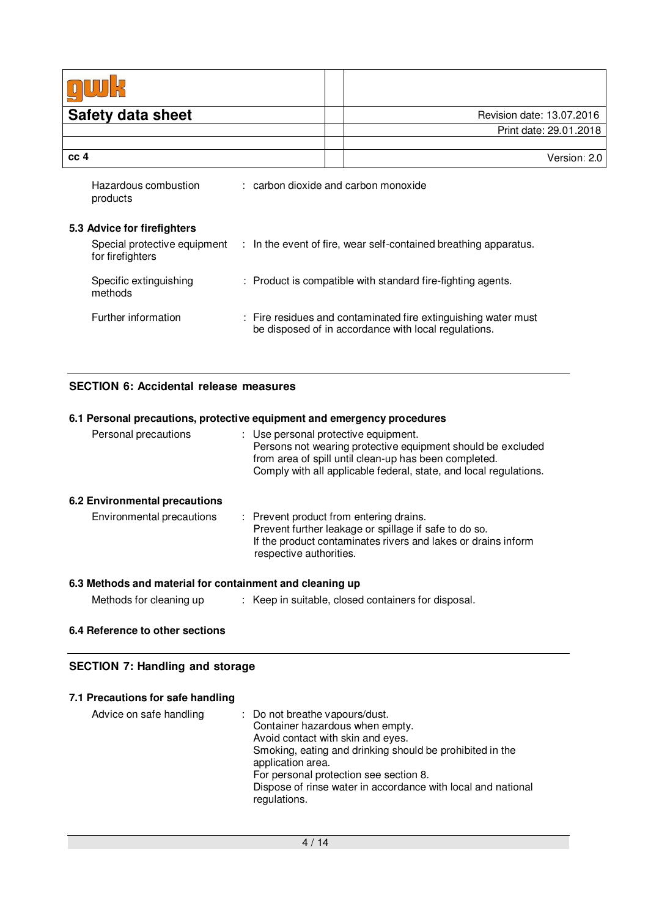| <b>Safety data sheet</b>                         | Revision date: 13.07.2016                                                                                              |
|--------------------------------------------------|------------------------------------------------------------------------------------------------------------------------|
|                                                  | Print date: 29.01.2018                                                                                                 |
| cc <sub>4</sub>                                  | Version: 2.0                                                                                                           |
|                                                  |                                                                                                                        |
| Hazardous combustion<br>products                 | : carbon dioxide and carbon monoxide                                                                                   |
| 5.3 Advice for firefighters                      |                                                                                                                        |
| Special protective equipment<br>for firefighters | $\therefore$ In the event of fire, wear self-contained breathing apparatus.                                            |
| Specific extinguishing<br>methods                | : Product is compatible with standard fire-fighting agents.                                                            |
| Further information                              | : Fire residues and contaminated fire extinguishing water must<br>be disposed of in accordance with local regulations. |

# **SECTION 6: Accidental release measures**

|                                                          | 6.1 Personal precautions, protective equipment and emergency procedures                                                                                                                                                           |
|----------------------------------------------------------|-----------------------------------------------------------------------------------------------------------------------------------------------------------------------------------------------------------------------------------|
| Personal precautions                                     | : Use personal protective equipment.<br>Persons not wearing protective equipment should be excluded<br>from area of spill until clean-up has been completed.<br>Comply with all applicable federal, state, and local regulations. |
| 6.2 Environmental precautions                            |                                                                                                                                                                                                                                   |
| Environmental precautions                                | : Prevent product from entering drains.<br>Prevent further leakage or spillage if safe to do so.<br>If the product contaminates rivers and lakes or drains inform<br>respective authorities.                                      |
| 6.3 Methods and material for containment and cleaning up |                                                                                                                                                                                                                                   |
| Methods for cleaning up                                  | : Keep in suitable, closed containers for disposal.                                                                                                                                                                               |

# **6.4 Reference to other sections**

# **SECTION 7: Handling and storage**

# **7.1 Precautions for safe handling**

| Container hazardous when empty.<br>Avoid contact with skin and eyes.<br>application area.<br>For personal protection see section 8.<br>regulations. | Advice on safe handling | : Do not breathe vapours/dust.<br>Smoking, eating and drinking should be prohibited in the<br>Dispose of rinse water in accordance with local and national |
|-----------------------------------------------------------------------------------------------------------------------------------------------------|-------------------------|------------------------------------------------------------------------------------------------------------------------------------------------------------|
|-----------------------------------------------------------------------------------------------------------------------------------------------------|-------------------------|------------------------------------------------------------------------------------------------------------------------------------------------------------|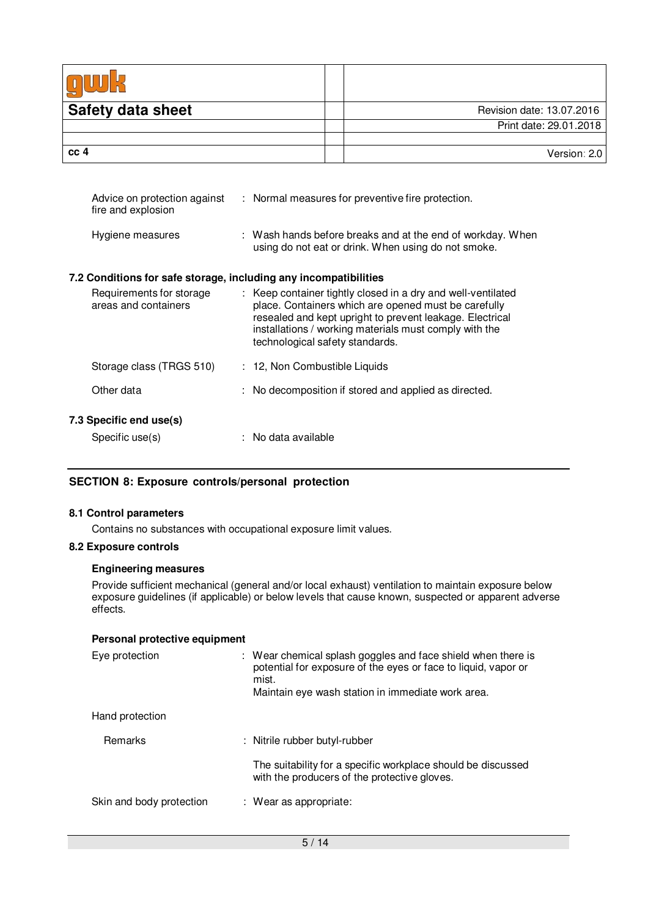| <b>Safety data sheet</b> | Revision date: 13.07.2016 |
|--------------------------|---------------------------|
|                          | Print date: 29.01.2018    |
|                          |                           |
| cc <sub>4</sub>          | Version: 2.0              |

| Advice on protection against<br>fire and explosion               | : Normal measures for preventive fire protection.                                                                                                                                                                                                                             |
|------------------------------------------------------------------|-------------------------------------------------------------------------------------------------------------------------------------------------------------------------------------------------------------------------------------------------------------------------------|
| Hygiene measures                                                 | : Wash hands before breaks and at the end of workday. When<br>using do not eat or drink. When using do not smoke.                                                                                                                                                             |
| 7.2 Conditions for safe storage, including any incompatibilities |                                                                                                                                                                                                                                                                               |
| Requirements for storage<br>areas and containers                 | : Keep container tightly closed in a dry and well-ventilated<br>place. Containers which are opened must be carefully<br>resealed and kept upright to prevent leakage. Electrical<br>installations / working materials must comply with the<br>technological safety standards. |
| Storage class (TRGS 510)                                         | : 12, Non Combustible Liquids                                                                                                                                                                                                                                                 |
| Other data                                                       | : No decomposition if stored and applied as directed.                                                                                                                                                                                                                         |
| 7.3 Specific end use(s)                                          |                                                                                                                                                                                                                                                                               |
| Specific use(s)                                                  | $:$ No data available                                                                                                                                                                                                                                                         |

# **SECTION 8: Exposure controls/personal protection**

#### **8.1 Control parameters**

Contains no substances with occupational exposure limit values.

#### **8.2 Exposure controls**

#### **Engineering measures**

Provide sufficient mechanical (general and/or local exhaust) ventilation to maintain exposure below exposure guidelines (if applicable) or below levels that cause known, suspected or apparent adverse effects.

| Personal protective equipment |                                                                                                                                                                                              |  |
|-------------------------------|----------------------------------------------------------------------------------------------------------------------------------------------------------------------------------------------|--|
| Eye protection                | : Wear chemical splash goggles and face shield when there is<br>potential for exposure of the eyes or face to liquid, vapor or<br>mist.<br>Maintain eye wash station in immediate work area. |  |
| Hand protection               |                                                                                                                                                                                              |  |
| <b>Remarks</b>                | : Nitrile rubber butyl-rubber                                                                                                                                                                |  |
|                               | The suitability for a specific workplace should be discussed<br>with the producers of the protective gloves.                                                                                 |  |
| Skin and body protection      | : Wear as appropriate:                                                                                                                                                                       |  |
|                               |                                                                                                                                                                                              |  |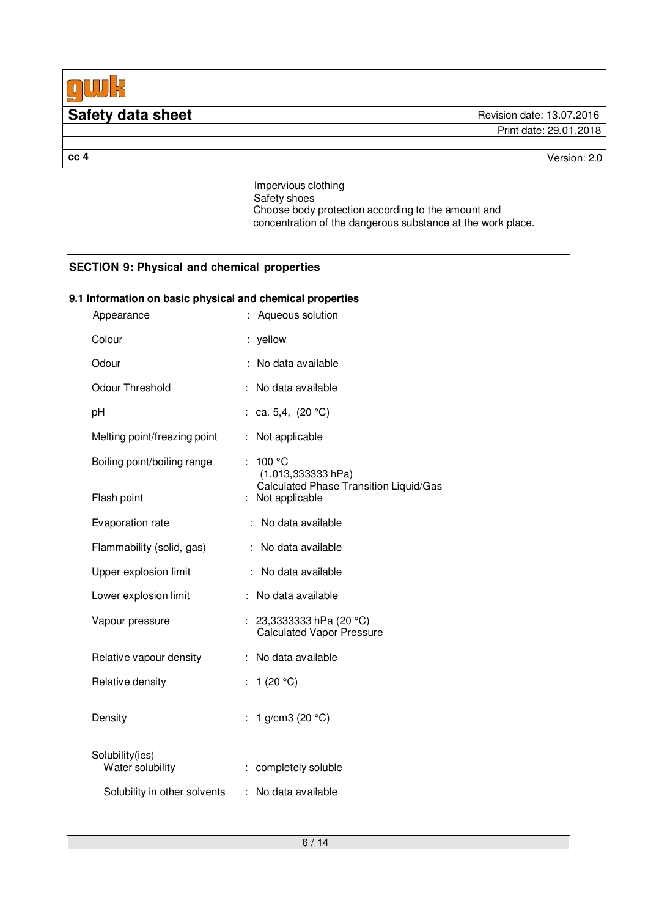| <b>Safety data sheet</b> | Revision date: 13.07.2016 |
|--------------------------|---------------------------|
|                          | Print date: 29.01.2018    |
|                          |                           |
| cc <sub>4</sub>          | Version: 2.0              |

Impervious clothing Safety shoes Choose body protection according to the amount and concentration of the dangerous substance at the work place.

### **SECTION 9: Physical and chemical properties**

# **9.1 Information on basic physical and chemical properties**

| Aqueous solution                                                                               |
|------------------------------------------------------------------------------------------------|
| : yellow                                                                                       |
| : No data available                                                                            |
| No data available                                                                              |
| ca. 5,4, $(20 °C)$                                                                             |
| Not applicable<br>÷                                                                            |
| 100 °C<br>$(1.013, 333333)$ hPa)<br>Calculated Phase Transition Liquid/Gas<br>: Not applicable |
| No data available                                                                              |
| No data available                                                                              |
| No data available                                                                              |
| No data available<br>÷                                                                         |
| 23,3333333 hPa (20 °C)<br><b>Calculated Vapor Pressure</b>                                     |
| : No data available                                                                            |
| : $1(20 °C)$                                                                                   |
| 1 g/cm3 (20 °C)                                                                                |
| : completely soluble                                                                           |
| : No data available                                                                            |
|                                                                                                |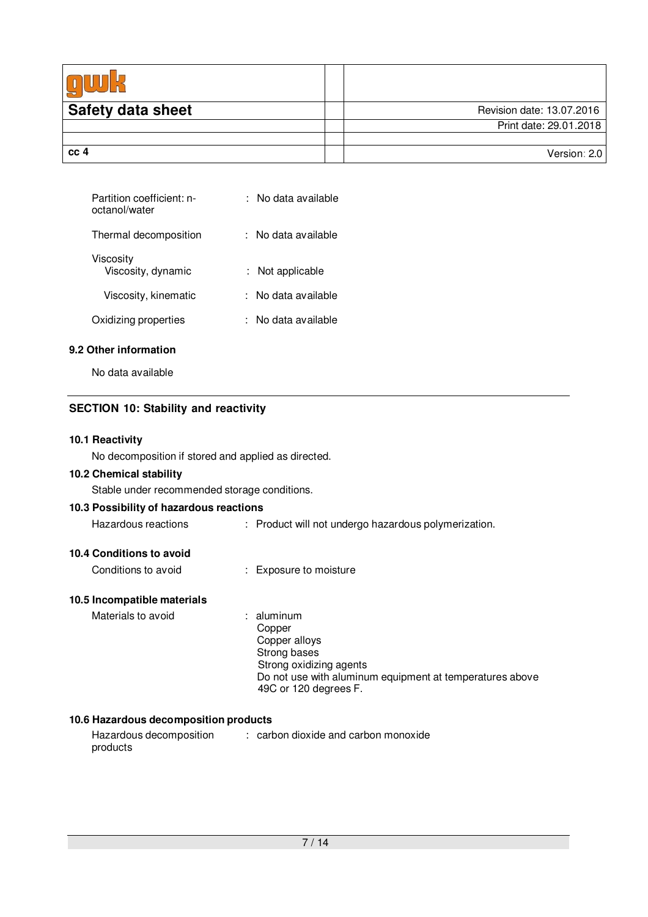| <b>Safety data sheet</b> | Revision date: 13.07.2016 |
|--------------------------|---------------------------|
|                          | Print date: 29.01.2018    |
|                          |                           |
| cc <sub>4</sub>          | Version: 2.0              |

| Partition coefficient: n-<br>octanol/water | No data available |
|--------------------------------------------|-------------------|
| Thermal decomposition                      | No data available |
| Viscosity<br>Viscosity, dynamic            | Not applicable    |
| Viscosity, kinematic                       | No data available |
| Oxidizing properties                       | No data available |

#### **9.2 Other information**

No data available

# **SECTION 10: Stability and reactivity**

#### **10.1 Reactivity**

No decomposition if stored and applied as directed.

#### **10.2 Chemical stability**

Stable under recommended storage conditions.

|  |  |  | 10.3 Possibility of hazardous reactions |  |
|--|--|--|-----------------------------------------|--|
|--|--|--|-----------------------------------------|--|

| Hazardous reactions | Product will not undergo hazardous polymerization. |
|---------------------|----------------------------------------------------|
|---------------------|----------------------------------------------------|

# **10.4 Conditions to avoid**

Conditions to avoid : Exposure to moisture

# **10.5 Incompatible materials**

| Materials to avoid | $:$ aluminum                                             |
|--------------------|----------------------------------------------------------|
|                    | Copper                                                   |
|                    | Copper alloys                                            |
|                    | Strong bases                                             |
|                    | Strong oxidizing agents                                  |
|                    | Do not use with aluminum equipment at temperatures above |
|                    | 49C or 120 degrees F.                                    |

#### **10.6 Hazardous decomposition products**

| Hazardous decomposition | : carbon dioxide and carbon monoxide |
|-------------------------|--------------------------------------|
| products                |                                      |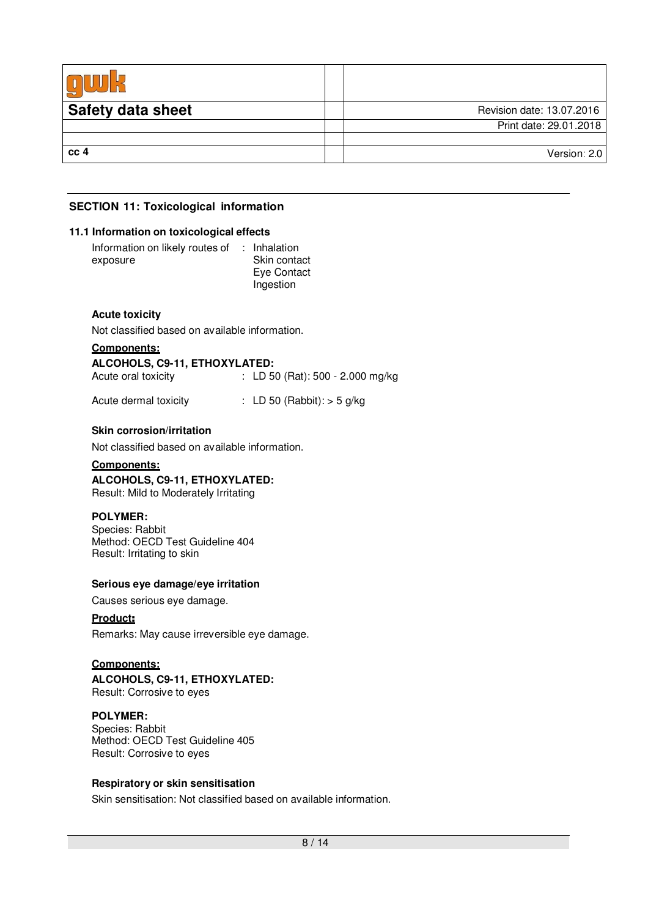| <b>Safety data sheet</b> | Revision date: 13.07.2016 |
|--------------------------|---------------------------|
|                          | Print date: 29.01.2018    |
|                          |                           |
| cc <sub>4</sub>          | Version: 2.0              |

# **SECTION 11: Toxicological information**

#### **11.1 Information on toxicological effects**

| Information on likely routes of | : Inhalation |
|---------------------------------|--------------|
| exposure                        | Skin contact |
|                                 | Eye Contact  |
|                                 | Ingestion    |

#### **Acute toxicity**

Not classified based on available information.

#### **Components:**

| ALCOHOLS, C9-11, ETHOXYLATED: |                                  |
|-------------------------------|----------------------------------|
| Acute oral toxicity           | : LD 50 (Rat): 500 - 2.000 mg/kg |

Acute dermal toxicity : LD 50 (Rabbit): > 5 g/kg

#### **Skin corrosion/irritation**

Not classified based on available information.

#### **Components:**

**ALCOHOLS, C9-11, ETHOXYLATED:** Result: Mild to Moderately Irritating

#### **POLYMER:**

Species: Rabbit Method: OECD Test Guideline 404 Result: Irritating to skin

#### **Serious eye damage/eye irritation**

Causes serious eye damage.

#### **Product**:

Remarks: May cause irreversible eye damage.

#### **Components:**

**ALCOHOLS, C9-11, ETHOXYLATED:** Result: Corrosive to eyes

#### **POLYMER:**

Species: Rabbit Method: OECD Test Guideline 405 Result: Corrosive to eyes

#### **Respiratory or skin sensitisation**

Skin sensitisation: Not classified based on available information.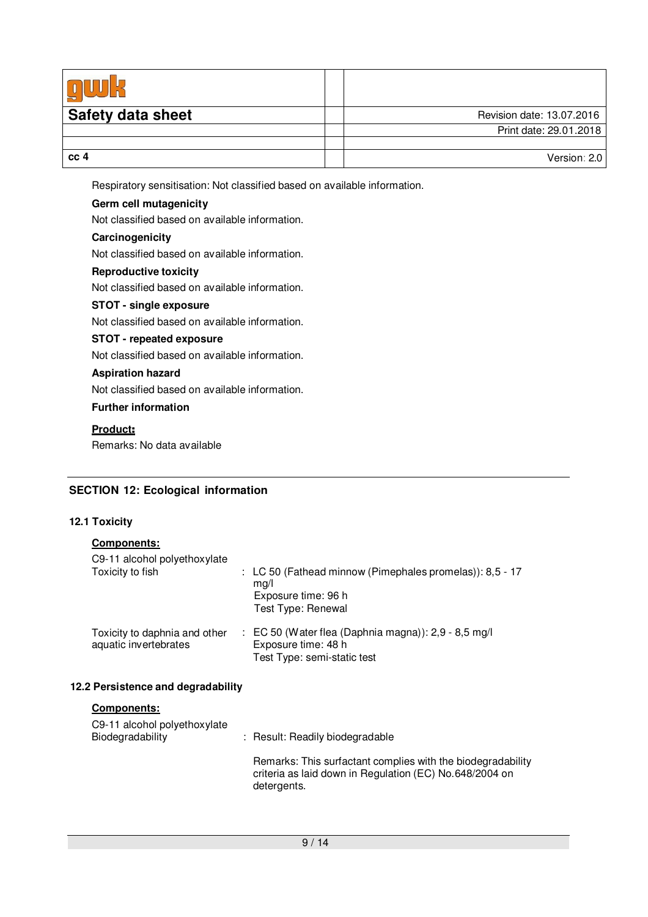| <b>Safety data sheet</b> | Revision date: 13.07.2016 |
|--------------------------|---------------------------|
|                          | Print date: 29.01.2018    |
|                          |                           |
| cc 4                     | Version: 2.0              |

Respiratory sensitisation: Not classified based on available information.

# **Germ cell mutagenicity**

Not classified based on available information.

# **Carcinogenicity**

Not classified based on available information.

### **Reproductive toxicity**

Not classified based on available information.

#### **STOT - single exposure**

Not classified based on available information.

#### **STOT - repeated exposure**

Not classified based on available information.

#### **Aspiration hazard**

Not classified based on available information.

#### **Further information**

#### **Product**:

Remarks: No data available

# **SECTION 12: Ecological information**

### **12.1 Toxicity**

| <b>Components:</b><br>C9-11 alcohol polyethoxylate     |                                                                                                                       |
|--------------------------------------------------------|-----------------------------------------------------------------------------------------------------------------------|
| Toxicity to fish                                       | : LC 50 (Fathead minnow (Pimephales promelas)): 8,5 - 17<br>mq/l<br>Exposure time: 96 h<br>Test Type: Renewal         |
| Toxicity to daphnia and other<br>aquatic invertebrates | $\therefore$ EC 50 (Water flea (Daphnia magna)): 2,9 - 8,5 mg/l<br>Exposure time: 48 h<br>Test Type: semi-static test |

# **12.2 Persistence and degradability**

#### **Components:**

| C9-11 alcohol polyethoxylate<br>Biodegradability | : Result: Readily biodegradable                                                                                                       |
|--------------------------------------------------|---------------------------------------------------------------------------------------------------------------------------------------|
|                                                  | Remarks: This surfactant complies with the biodegradability<br>criteria as laid down in Regulation (EC) No.648/2004 on<br>detergents. |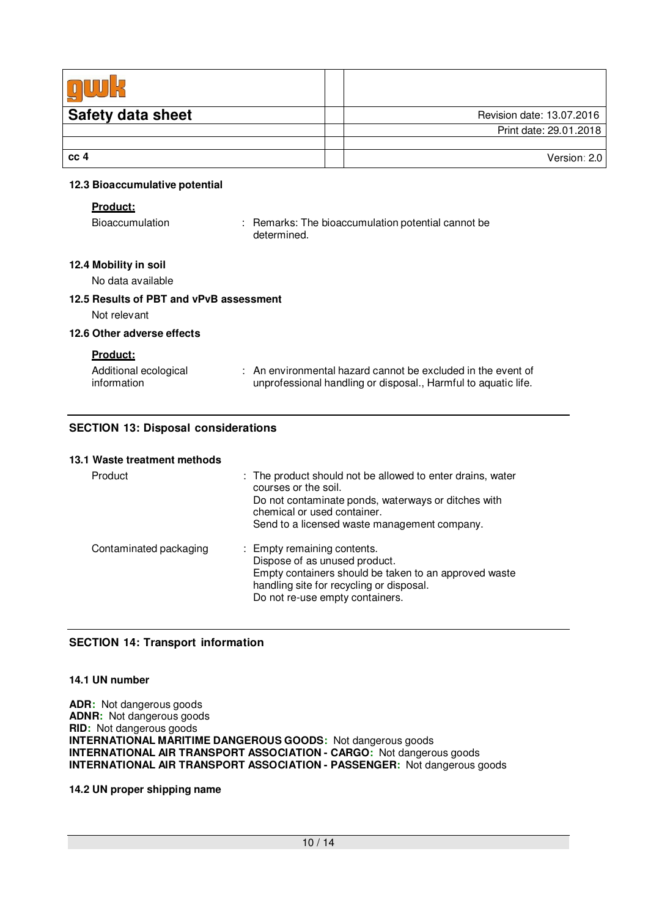| <b>Safety data sheet</b> | Revision date: 13.07.2016 |
|--------------------------|---------------------------|
|                          | Print date: 29.01.2018    |
|                          |                           |
| cc <sub>4</sub>          | Version: 2.0              |
|                          |                           |

#### **12.3 Bioaccumulative potential**

#### **Product:**

Bioaccumulation : Remarks: The bioaccumulation potential cannot be determined.

### **12.4 Mobility in soil**

No data available

#### **12.5 Results of PBT and vPvB assessment**

Not relevant

#### **12.6 Other adverse effects**

**Product:**

| Additional ecological | $\therefore$ An environmental hazard cannot be excluded in the event of |
|-----------------------|-------------------------------------------------------------------------|
| information           | unprofessional handling or disposal., Harmful to aquatic life.          |

### **SECTION 13: Disposal considerations**

#### **13.1 Waste treatment methods**

| Product                | : The product should not be allowed to enter drains, water<br>courses or the soil.<br>Do not contaminate ponds, waterways or ditches with<br>chemical or used container.<br>Send to a licensed waste management company. |
|------------------------|--------------------------------------------------------------------------------------------------------------------------------------------------------------------------------------------------------------------------|
| Contaminated packaging | : Empty remaining contents.<br>Dispose of as unused product.<br>Empty containers should be taken to an approved waste<br>handling site for recycling or disposal.<br>Do not re-use empty containers.                     |

# **SECTION 14: Transport information**

#### **14.1 UN number**

**ADR:** Not dangerous goods **ADNR:** Not dangerous goods **RID:** Not dangerous goods **INTERNATIONAL MARITIME DANGEROUS GOODS:** Not dangerous goods **INTERNATIONAL AIR TRANSPORT ASSOCIATION - CARGO:** Not dangerous goods **INTERNATIONAL AIR TRANSPORT ASSOCIATION - PASSENGER:** Not dangerous goods

#### **14.2 UN proper shipping name**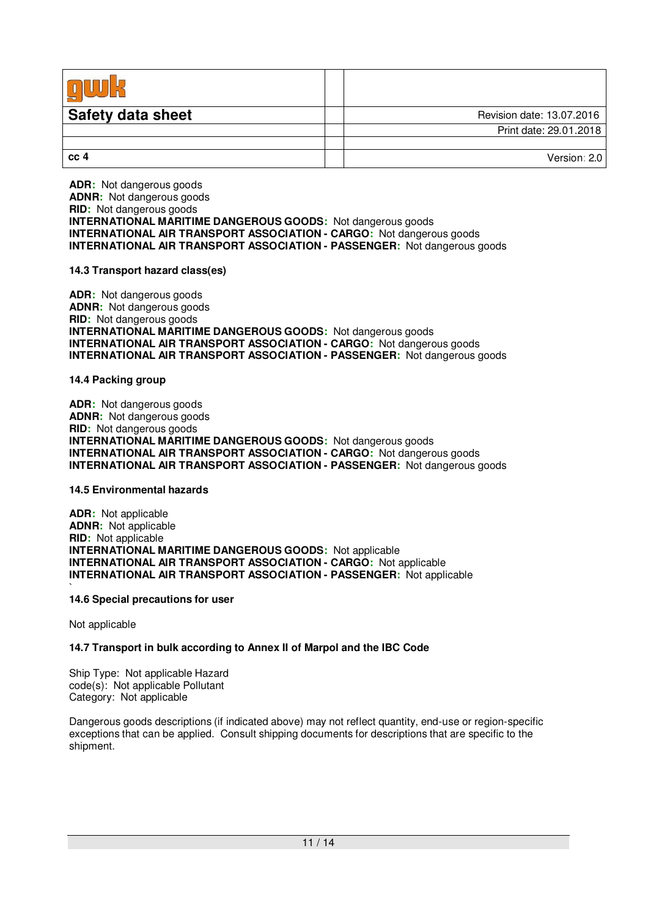| <b>Safety data sheet</b> | Revision date: 13.07.2016 |
|--------------------------|---------------------------|
|                          | Print date: 29.01.2018    |
|                          |                           |
| cc <sub>4</sub>          | Version: 2.0              |

**ADR:** Not dangerous goods **ADNR:** Not dangerous goods **RID:** Not dangerous goods **INTERNATIONAL MARITIME DANGEROUS GOODS:** Not dangerous goods **INTERNATIONAL AIR TRANSPORT ASSOCIATION - CARGO:** Not dangerous goods **INTERNATIONAL AIR TRANSPORT ASSOCIATION - PASSENGER:** Not dangerous goods

#### **14.3 Transport hazard class(es)**

**ADR:** Not dangerous goods **ADNR:** Not dangerous goods **RID:** Not dangerous goods **INTERNATIONAL MARITIME DANGEROUS GOODS:** Not dangerous goods **INTERNATIONAL AIR TRANSPORT ASSOCIATION - CARGO:** Not dangerous goods **INTERNATIONAL AIR TRANSPORT ASSOCIATION - PASSENGER:** Not dangerous goods

**14.4 Packing group**

**ADR:** Not dangerous goods **ADNR:** Not dangerous goods **RID:** Not dangerous goods **INTERNATIONAL MARITIME DANGEROUS GOODS:** Not dangerous goods **INTERNATIONAL AIR TRANSPORT ASSOCIATION - CARGO:** Not dangerous goods **INTERNATIONAL AIR TRANSPORT ASSOCIATION - PASSENGER:** Not dangerous goods

#### **14.5 Environmental hazards**

**ADR:** Not applicable **ADNR:** Not applicable **RID:** Not applicable **INTERNATIONAL MARITIME DANGEROUS GOODS:** Not applicable **INTERNATIONAL AIR TRANSPORT ASSOCIATION - CARGO:** Not applicable **INTERNATIONAL AIR TRANSPORT ASSOCIATION - PASSENGER:** Not applicable

#### **14.6 Special precautions for user**

Not applicable

`

#### **14.7 Transport in bulk according to Annex II of Marpol and the IBC Code**

Ship Type: Not applicable Hazard code(s): Not applicable Pollutant Category: Not applicable

Dangerous goods descriptions (if indicated above) may not reflect quantity, end-use or region-specific exceptions that can be applied. Consult shipping documents for descriptions that are specific to the shipment.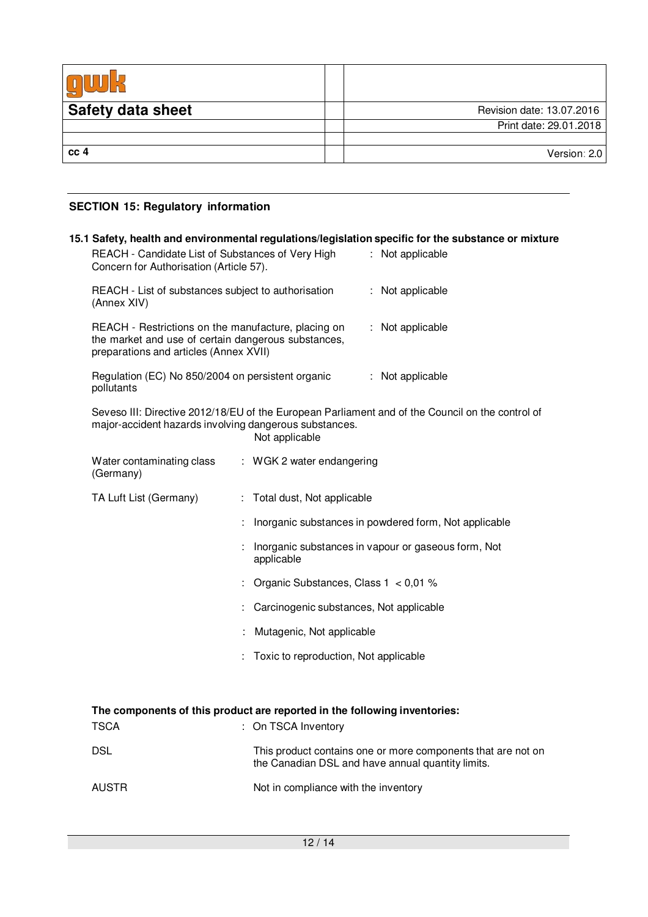| <b>Safety data sheet</b> | Revision date: 13.07.2016 |
|--------------------------|---------------------------|
|                          | Print date: 29.01.2018    |
|                          |                           |
| cc <sub>4</sub>          | Version: 2.0              |

# **SECTION 15: Regulatory information**

| REACH - Candidate List of Substances of Very High<br>Concern for Authorisation (Article 57).                                                         | 15.1 Safety, health and environmental regulations/legislation specific for the substance or mixture<br>: Not applicable |
|------------------------------------------------------------------------------------------------------------------------------------------------------|-------------------------------------------------------------------------------------------------------------------------|
| REACH - List of substances subject to authorisation<br>(Annex XIV)                                                                                   | : Not applicable                                                                                                        |
| REACH - Restrictions on the manufacture, placing on<br>the market and use of certain dangerous substances,<br>preparations and articles (Annex XVII) | : Not applicable                                                                                                        |
| Regulation (EC) No 850/2004 on persistent organic<br>pollutants                                                                                      | : Not applicable                                                                                                        |
| major-accident hazards involving dangerous substances.                                                                                               | Seveso III: Directive 2012/18/EU of the European Parliament and of the Council on the control of<br>Not applicable      |
| Water contaminating class<br>(Germany)                                                                                                               | : WGK 2 water endangering                                                                                               |
| TA Luft List (Germany)                                                                                                                               | : Total dust, Not applicable                                                                                            |
|                                                                                                                                                      | Inorganic substances in powdered form, Not applicable                                                                   |
|                                                                                                                                                      | : Inorganic substances in vapour or gaseous form, Not<br>applicable                                                     |
|                                                                                                                                                      | : Organic Substances, Class $1 < 0.01$ %                                                                                |
|                                                                                                                                                      | Carcinogenic substances, Not applicable                                                                                 |
|                                                                                                                                                      | Mutagenic, Not applicable                                                                                               |
|                                                                                                                                                      | Toxic to reproduction, Not applicable                                                                                   |
|                                                                                                                                                      |                                                                                                                         |
| <b>TSCA</b>                                                                                                                                          | The components of this product are reported in the following inventories:<br>: On TSCA Inventory                        |
| DSL                                                                                                                                                  | This product contains one or more components that are not on<br>the Canadian DSL and have annual quantity limits.       |
| AUSTR                                                                                                                                                | Not in compliance with the inventory                                                                                    |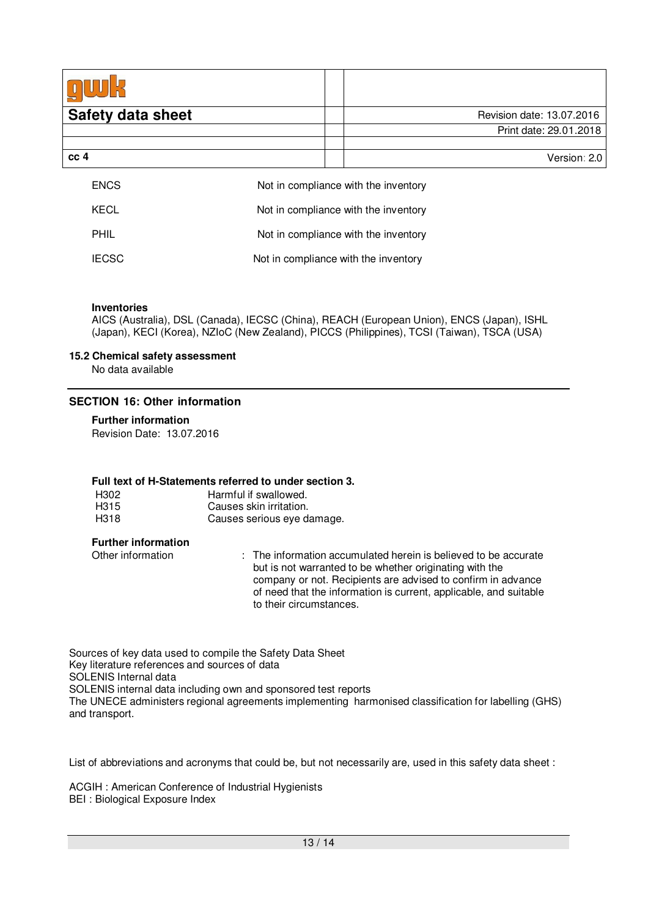| <b>Safety data sheet</b> | Revision date: 13.07.2016            |  |
|--------------------------|--------------------------------------|--|
|                          | Print date: 29.01.2018               |  |
|                          |                                      |  |
| cc 4                     | Version: 2.0                         |  |
| <b>ENCS</b>              | Not in compliance with the inventory |  |
| <b>KECL</b>              | Not in compliance with the inventory |  |
| <b>PHIL</b>              | Not in compliance with the inventory |  |
| <b>IECSC</b>             | Not in compliance with the inventory |  |

#### **Inventories**

AICS (Australia), DSL (Canada), IECSC (China), REACH (European Union), ENCS (Japan), ISHL (Japan), KECI (Korea), NZIoC (New Zealand), PICCS (Philippines), TCSI (Taiwan), TSCA (USA)

#### **15.2 Chemical safety assessment**

No data available

#### **SECTION 16: Other information**

# **Further information**

Revision Date: 13.07.2016

#### **Full text of H-Statements referred to under section 3.**

| H302 | Harmful if swallowed.      |
|------|----------------------------|
| H315 | Causes skin irritation.    |
| H318 | Causes serious eye damage. |

#### **Further information**

Other information : The information accumulated herein is believed to be accurate but is not warranted to be whether originating with the company or not. Recipients are advised to confirm in advance of need that the information is current, applicable, and suitable to their circumstances.

Sources of key data used to compile the Safety Data Sheet Key literature references and sources of data SOLENIS Internal data SOLENIS internal data including own and sponsored test reports The UNECE administers regional agreements implementing harmonised classification for labelling (GHS) and transport.

List of abbreviations and acronyms that could be, but not necessarily are, used in this safety data sheet :

ACGIH : American Conference of Industrial Hygienists BEI : Biological Exposure Index